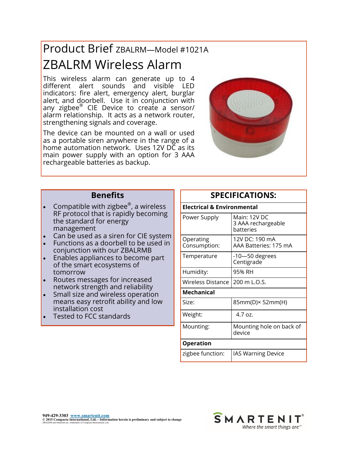# Product Brief ZBALRM—Model #1021A ZBALRM Wireless Alarm

This wireless alarm can generate up to 4 different alert sounds and visible LED indicators: fire alert, emergency alert, burglar alert, and doorbell. Use it in conjunction with any zigbee® CIE Device to create a sensor/ alarm relationship. It acts as a network router, strengthening signals and coverage.

The device can be mounted on a wall or used as a portable siren anywhere in the range of a home automation network. Uses 12V DC as its main power supply with an option for 3 AAA rechargeable batteries as backup.



#### **Benefits**

- Compatible with zigbee<sup>®</sup>, a wireless RF protocol that is rapidly becoming the standard for energy management
- Can be used as a siren for CIE system
- Functions as a doorbell to be used in conjunction with our ZBALRMB
- Enables appliances to become part of the smart ecosystems of tomorrow
- Routes messages for increased network strength and reliability
- Small size and wireless operation means easy retrofit ability and low installation cost
- Tested to FCC standards

### **SPECIFICATIONS:**

| <b>Electrical &amp; Environmental</b> |                                                 |  |  |  |
|---------------------------------------|-------------------------------------------------|--|--|--|
| Power Supply                          | Main: 12V DC<br>3 AAA rechargeable<br>batteries |  |  |  |
| Operating<br>Consumption:             | 12V DC: 190 mA<br>AAA Batteries: 175 mA         |  |  |  |
| Temperature                           | $-10$ —50 degrees<br>Centigrade                 |  |  |  |
| Humidity:                             | 95% RH                                          |  |  |  |
| <b>Wireless Distance</b>              | 200 m L.O.S.                                    |  |  |  |
| <b>Mechanical</b>                     |                                                 |  |  |  |
| Size:                                 | 85mm(D)× 52mm(H)                                |  |  |  |
| Weight:                               | $4.7 \text{ oz.}$                               |  |  |  |
| Mounting:                             | Mounting hole on back of<br>device              |  |  |  |
| <b>Operation</b>                      |                                                 |  |  |  |
| zigbee function:                      | <b>IAS Warning Device</b>                       |  |  |  |